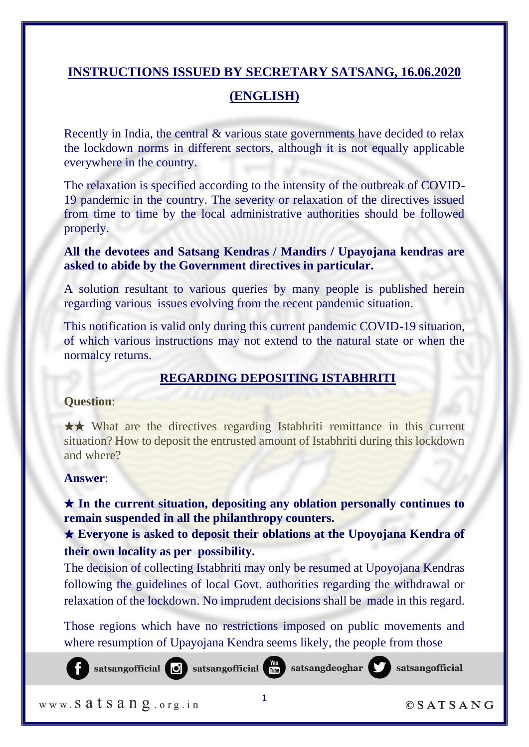# **INSTRUCTIONS ISSUED BY SECRETARY SATSANG, 16.06.2020**

# **(ENGLISH)**

Recently in India, the central & various state governments have decided to relax the lockdown norms in different sectors, although it is not equally applicable everywhere in the country.

The relaxation is specified according to the intensity of the outbreak of COVID-19 pandemic in the country. The severity or relaxation of the directives issued from time to time by the local administrative authorities should be followed properly.

# **All the devotees and Satsang Kendras / Mandirs / Upayojana kendras are asked to abide by the Government directives in particular.**

A solution resultant to various queries by many people is published herein regarding various issues evolving from the recent pandemic situation.

This notification is valid only during this current pandemic COVID-19 situation, of which various instructions may not extend to the natural state or when the normalcy returns.

# **REGARDING DEPOSITING ISTABHRITI**

# **Question**:

★★ What are the directives regarding Istabhriti remittance in this current situation? How to deposit the entrusted amount of Istabhriti during this lockdown and where?

# **Answer**:

★ **In the current situation, depositing any oblation personally continues to remain suspended in all the philanthropy counters.** 

★ **Everyone is asked to deposit their oblations at the Upoyojana Kendra of their own locality as per possibility.** 

The decision of collecting Istabhriti may only be resumed at Upoyojana Kendras following the guidelines of local Govt. authorities regarding the withdrawal or relaxation of the lockdown. No imprudent decisions shall be made in this regard.

Those regions which have no restrictions imposed on public movements and where resumption of Upayojana Kendra seems likely, the people from those

satsangofficial is satsangofficial interests at sangdeoghar

www. Satsang.org.in



 $OSATSANG$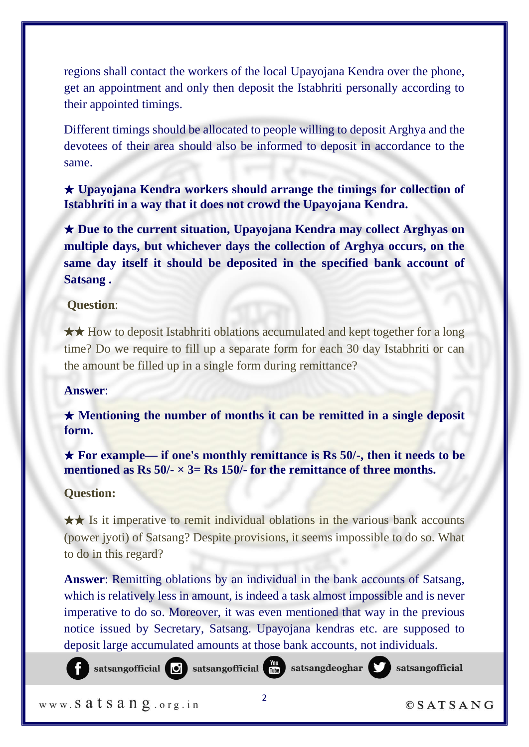regions shall contact the workers of the local Upayojana Kendra over the phone, get an appointment and only then deposit the Istabhriti personally according to their appointed timings.

Different timings should be allocated to people willing to deposit Arghya and the devotees of their area should also be informed to deposit in accordance to the same.

★ **Upayojana Kendra workers should arrange the timings for collection of Istabhriti in a way that it does not crowd the Upayojana Kendra.**

★ **Due to the current situation, Upayojana Kendra may collect Arghyas on multiple days, but whichever days the collection of Arghya occurs, on the same day itself it should be deposited in the specified bank account of Satsang .**

## **Question**:

★★ How to deposit Istabhriti oblations accumulated and kept together for a long time? Do we require to fill up a separate form for each 30 day Istabhriti or can the amount be filled up in a single form during remittance?

#### **Answer**:

★ **Mentioning the number of months it can be remitted in a single deposit form.**

★ **For example— if one's monthly remittance is Rs 50/-, then it needs to be mentioned as Rs 50/-**  $\times$  3= Rs 150/- for the remittance of three months.

**Question:**

★★ Is it imperative to remit individual oblations in the various bank accounts (power jyoti) of Satsang? Despite provisions, it seems impossible to do so. What to do in this regard?

**Answer**: Remitting oblations by an individual in the bank accounts of Satsang, which is relatively less in amount, is indeed a task almost impossible and is never imperative to do so. Moreover, it was even mentioned that way in the previous notice issued by Secretary, Satsang. Upayojana kendras etc. are supposed to deposit large accumulated amounts at those bank accounts, not individuals.

satsangofficial in satsangofficial in satsangdeoghar satsangofficial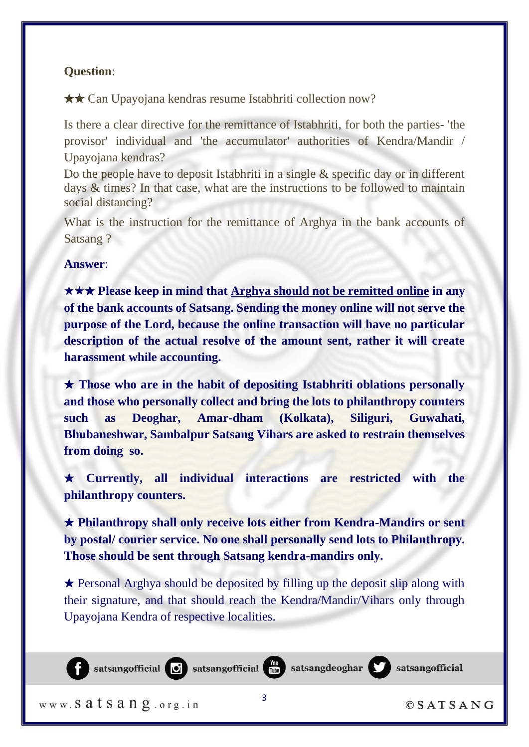## **Question**:

★★ Can Upayojana kendras resume Istabhriti collection now?

Is there a clear directive for the remittance of Istabhriti, for both the parties- 'the provisor' individual and 'the accumulator' authorities of Kendra/Mandir / Upayojana kendras?

Do the people have to deposit Istabhriti in a single & specific day or in different days & times? In that case, what are the instructions to be followed to maintain social distancing?

What is the instruction for the remittance of Arghya in the bank accounts of Satsang ?

**Answer**:

★★★ **Please keep in mind that Arghya should not be remitted online in any of the bank accounts of Satsang. Sending the money online will not serve the purpose of the Lord, because the online transaction will have no particular description of the actual resolve of the amount sent, rather it will create harassment while accounting.** 

★ **Those who are in the habit of depositing Istabhriti oblations personally and those who personally collect and bring the lots to philanthropy counters such as Deoghar, Amar-dham (Kolkata), Siliguri, Guwahati, Bhubaneshwar, Sambalpur Satsang Vihars are asked to restrain themselves from doing so.** 

★ **Currently, all individual interactions are restricted with the philanthropy counters.** 

★ **Philanthropy shall only receive lots either from Kendra-Mandirs or sent by postal/ courier service. No one shall personally send lots to Philanthropy. Those should be sent through Satsang kendra-mandirs only.** 

★ Personal Arghya should be deposited by filling up the deposit slip along with their signature, and that should reach the Kendra/Mandir/Vihars only through Upayojana Kendra of respective localities.

3



www. Satsang.org.in

 $OSATSANG$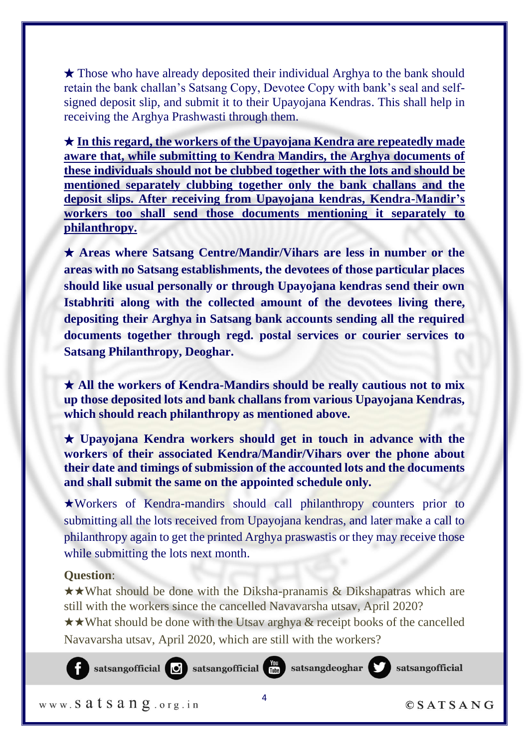★ Those who have already deposited their individual Arghya to the bank should retain the bank challan's Satsang Copy, Devotee Copy with bank's seal and selfsigned deposit slip, and submit it to their Upayojana Kendras. This shall help in receiving the Arghya Prashwasti through them.

★ **In this regard, the workers of the Upayojana Kendra are repeatedly made aware that, while submitting to Kendra Mandirs, the Arghya documents of these individuals should not be clubbed together with the lots and should be mentioned separately clubbing together only the bank challans and the deposit slips. After receiving from Upayojana kendras, Kendra-Mandir's workers too shall send those documents mentioning it separately to philanthropy.**

★ **Areas where Satsang Centre/Mandir/Vihars are less in number or the areas with no Satsang establishments, the devotees of those particular places should like usual personally or through Upayojana kendras send their own Istabhriti along with the collected amount of the devotees living there, depositing their Arghya in Satsang bank accounts sending all the required documents together through regd. postal services or courier services to Satsang Philanthropy, Deoghar.**

★ **All the workers of Kendra-Mandirs should be really cautious not to mix up those deposited lots and bank challans from various Upayojana Kendras, which should reach philanthropy as mentioned above.**

★ **Upayojana Kendra workers should get in touch in advance with the workers of their associated Kendra/Mandir/Vihars over the phone about their date and timings of submission of the accounted lots and the documents and shall submit the same on the appointed schedule only.**

★Workers of Kendra-mandirs should call philanthropy counters prior to submitting all the lots received from Upayojana kendras, and later make a call to philanthropy again to get the printed Arghya praswastis or they may receive those while submitting the lots next month.

# **Question**:

★★What should be done with the Diksha-pranamis & Dikshapatras which are still with the workers since the cancelled Navavarsha utsav, April 2020?

★★What should be done with the Utsav arghya & receipt books of the cancelled Navavarsha utsav, April 2020, which are still with the workers?



 $\Delta$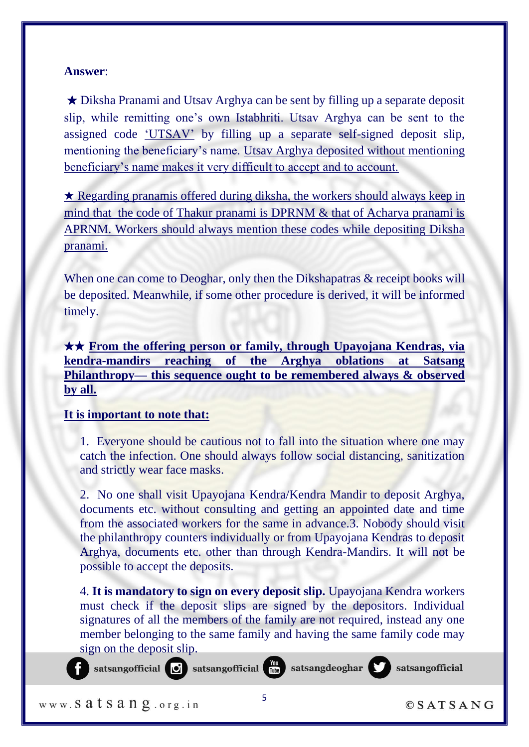★ Diksha Pranami and Utsav Arghya can be sent by filling up a separate deposit slip, while remitting one's own Istabhriti. Utsav Arghya can be sent to the assigned code 'UTSAV' by filling up a separate self-signed deposit slip, mentioning the beneficiary's name. Utsav Arghya deposited without mentioning beneficiary's name makes it very difficult to accept and to account.

★ Regarding pranamis offered during diksha, the workers should always keep in mind that the code of Thakur pranami is DPRNM & that of Acharya pranami is APRNM. Workers should always mention these codes while depositing Diksha pranami.

When one can come to Deoghar, only then the Dikshapatras  $\&$  receipt books will be deposited. Meanwhile, if some other procedure is derived, it will be informed timely.

★★ **From the offering person or family, through Upayojana Kendras, via kendra-mandirs reaching of the Arghya oblations at Satsang Philanthropy— this sequence ought to be remembered always & observed by all.**

# **It is important to note that:**

1. Everyone should be cautious not to fall into the situation where one may catch the infection. One should always follow social distancing, sanitization and strictly wear face masks.

2. No one shall visit Upayojana Kendra/Kendra Mandir to deposit Arghya, documents etc. without consulting and getting an appointed date and time from the associated workers for the same in advance.3. Nobody should visit the philanthropy counters individually or from Upayojana Kendras to deposit Arghya, documents etc. other than through Kendra-Mandirs. It will not be possible to accept the deposits.

4. **It is mandatory to sign on every deposit slip.** Upayojana Kendra workers must check if the deposit slips are signed by the depositors. Individual signatures of all the members of the family are not required, instead any one member belonging to the same family and having the same family code may sign on the deposit slip.

www. Satsang.org.in

satsangofficial

satsangofficial is satsangofficial interests at sangdeoghar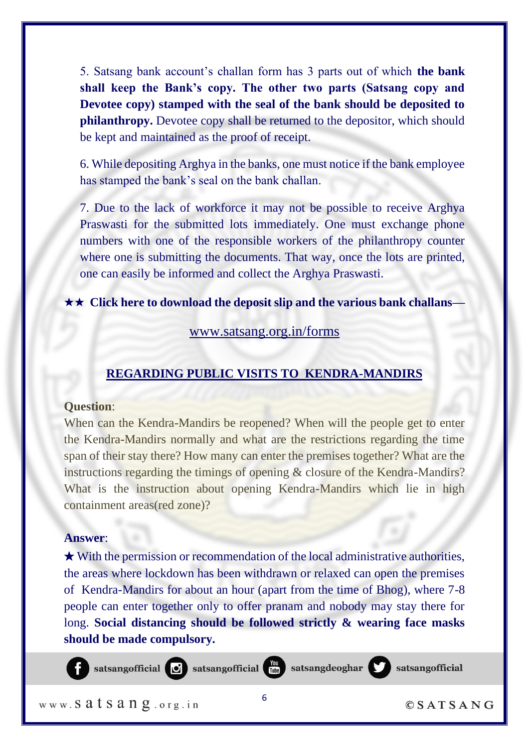5. Satsang bank account's challan form has 3 parts out of which **the bank shall keep the Bank's copy. The other two parts (Satsang copy and Devotee copy) stamped with the seal of the bank should be deposited to philanthropy.** Devotee copy shall be returned to the depositor, which should be kept and maintained as the proof of receipt.

6. While depositing Arghya in the banks, one must notice if the bank employee has stamped the bank's seal on the bank challan.

7. Due to the lack of workforce it may not be possible to receive Arghya Praswasti for the submitted lots immediately. One must exchange phone numbers with one of the responsible workers of the philanthropy counter where one is submitting the documents. That way, once the lots are printed, one can easily be informed and collect the Arghya Praswasti.

#### ★★ **Click here to download the deposit slip and the various bank challans—**

#### www.satsang.org.in/forms

# **REGARDING PUBLIC VISITS TO KENDRA-MANDIRS**

#### **Question**:

When can the Kendra-Mandirs be reopened? When will the people get to enter the Kendra-Mandirs normally and what are the restrictions regarding the time span of their stay there? How many can enter the premises together? What are the instructions regarding the timings of opening & closure of the Kendra-Mandirs? What is the instruction about opening Kendra-Mandirs which lie in high containment areas(red zone)?

#### **Answer**:

 $\star$  With the permission or recommendation of the local administrative authorities, the areas where lockdown has been withdrawn or relaxed can open the premises of Kendra-Mandirs for about an hour (apart from the time of Bhog), where 7-8 people can enter together only to offer pranam and nobody may stay there for long. **Social distancing should be followed strictly & wearing face masks should be made compulsory.**

satsangofficial is satsangofficial interests at sangdeoghar

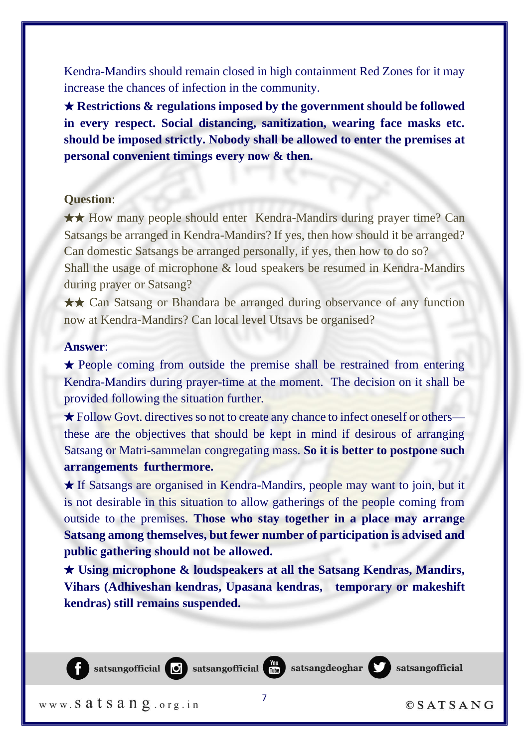Kendra-Mandirs should remain closed in high containment Red Zones for it may increase the chances of infection in the community.

★ **Restrictions & regulations imposed by the government should be followed in every respect. Social distancing, sanitization, wearing face masks etc. should be imposed strictly. Nobody shall be allowed to enter the premises at personal convenient timings every now & then.**

#### **Question**:

★★ How many people should enter Kendra-Mandirs during prayer time? Can Satsangs be arranged in Kendra-Mandirs? If yes, then how should it be arranged? Can domestic Satsangs be arranged personally, if yes, then how to do so? Shall the usage of microphone & loud speakers be resumed in Kendra-Mandirs during prayer or Satsang?

★★ Can Satsang or Bhandara be arranged during observance of any function now at Kendra-Mandirs? Can local level Utsavs be organised?

#### **Answer**:

★ People coming from outside the premise shall be restrained from entering Kendra-Mandirs during prayer-time at the moment. The decision on it shall be provided following the situation further.

★ Follow Govt. directives so not to create any chance to infect oneself or others these are the objectives that should be kept in mind if desirous of arranging Satsang or Matri-sammelan congregating mass. **So it is better to postpone such arrangements furthermore.**

★ If Satsangs are organised in Kendra-Mandirs, people may want to join, but it is not desirable in this situation to allow gatherings of the people coming from outside to the premises. **Those who stay together in a place may arrange Satsang among themselves, but fewer number of participation is advised and public gathering should not be allowed.**

★ **Using microphone & loudspeakers at all the Satsang Kendras, Mandirs, Vihars (Adhiveshan kendras, Upasana kendras, temporary or makeshift kendras) still remains suspended.**



www. Satsang.org.in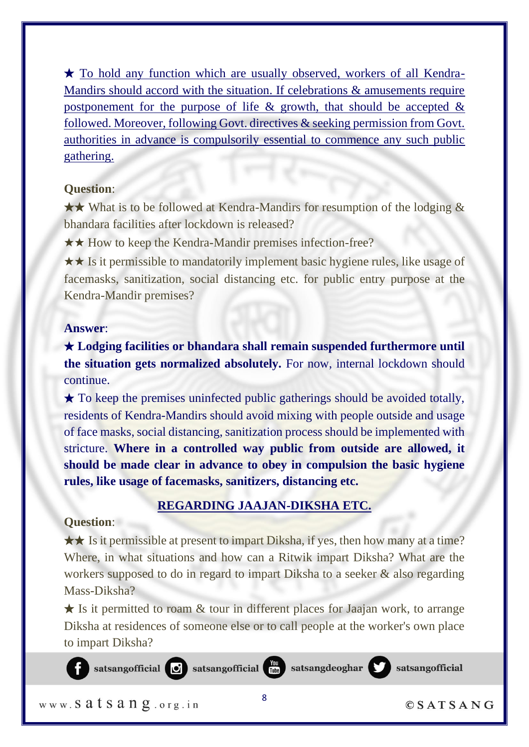★ To hold any function which are usually observed, workers of all Kendra-Mandirs should accord with the situation. If celebrations & amusements require postponement for the purpose of life  $\&$  growth, that should be accepted  $\&$ followed. Moreover, following Govt. directives & seeking permission from Govt. authorities in advance is compulsorily essential to commence any such public gathering.

# **Question**:

★★ What is to be followed at Kendra-Mandirs for resumption of the lodging & bhandara facilities after lockdown is released?

★★ How to keep the Kendra-Mandir premises infection-free?

★★ Is it permissible to mandatorily implement basic hygiene rules, like usage of facemasks, sanitization, social distancing etc. for public entry purpose at the Kendra-Mandir premises?

## **Answer**:

★ **Lodging facilities or bhandara shall remain suspended furthermore until the situation gets normalized absolutely.** For now, internal lockdown should continue.

 $\star$  To keep the premises uninfected public gatherings should be avoided totally, residents of Kendra-Mandirs should avoid mixing with people outside and usage of face masks, social distancing, sanitization process should be implemented with stricture. **Where in a controlled way public from outside are allowed, it should be made clear in advance to obey in compulsion the basic hygiene rules, like usage of facemasks, sanitizers, distancing etc.**

# **REGARDING JAAJAN-DIKSHA ETC.**

# **Question**:

★★ Is it permissible at present to impart Diksha, if yes, then how many at a time? Where, in what situations and how can a Ritwik impart Diksha? What are the workers supposed to do in regard to impart Diksha to a seeker  $\&$  also regarding Mass-Diksha?

 $\star$  Is it permitted to roam & tour in different places for Jaajan work, to arrange Diksha at residences of someone else or to call people at the worker's own place to impart Diksha?

www. Satsang.org.in

satsangofficial

satsangofficial **of** satsangofficial **for satsangdeoghar**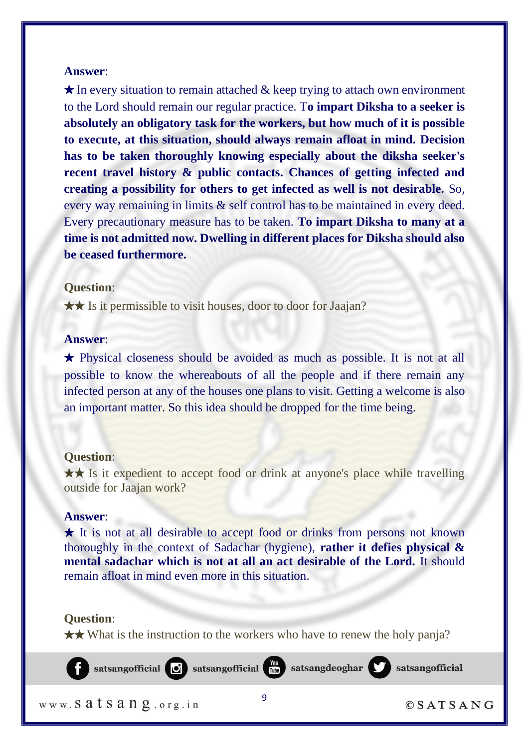$\star$  In every situation to remain attached & keep trying to attach own environment to the Lord should remain our regular practice. T**o impart Diksha to a seeker is absolutely an obligatory task for the workers, but how much of it is possible to execute, at this situation, should always remain afloat in mind. Decision has to be taken thoroughly knowing especially about the diksha seeker's recent travel history & public contacts. Chances of getting infected and creating a possibility for others to get infected as well is not desirable.** So, every way remaining in limits & self control has to be maintained in every deed. Every precautionary measure has to be taken. **To impart Diksha to many at a time is not admitted now. Dwelling in different places for Diksha should also be ceased furthermore.**

#### **Question**:

★★ Is it permissible to visit houses, door to door for Jaajan?

#### **Answer**:

★ Physical closeness should be avoided as much as possible. It is not at all possible to know the whereabouts of all the people and if there remain any infected person at any of the houses one plans to visit. Getting a welcome is also an important matter. So this idea should be dropped for the time being.

#### **Question**:

★★ Is it expedient to accept food or drink at anyone's place while travelling outside for Jaajan work?

#### **Answer**:

★ It is not at all desirable to accept food or drinks from persons not known thoroughly in the context of Sadachar (hygiene), **rather it defies physical & mental sadachar which is not at all an act desirable of the Lord.** It should remain afloat in mind even more in this situation.

## **Question**:

★★ What is the instruction to the workers who have to renew the holy panja?



www. Satsang.org.in

 $OSATSANG$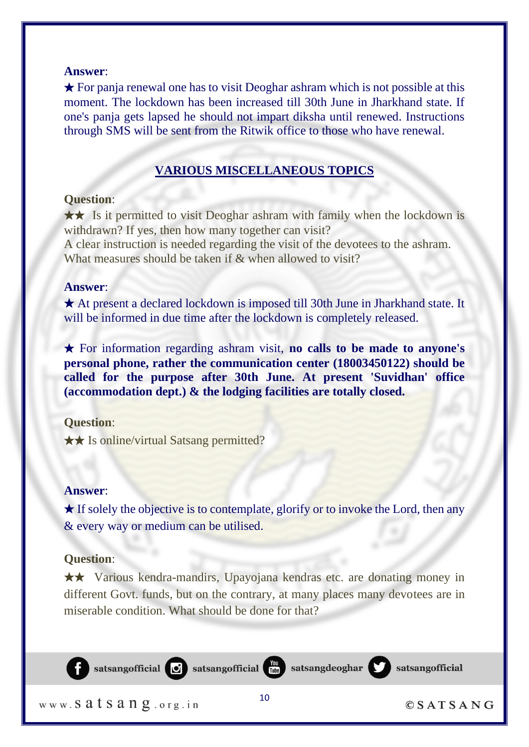$\star$  For panja renewal one has to visit Deoghar ashram which is not possible at this moment. The lockdown has been increased till 30th June in Jharkhand state. If one's panja gets lapsed he should not impart diksha until renewed. Instructions through SMS will be sent from the Ritwik office to those who have renewal.

# **VARIOUS MISCELLANEOUS TOPICS**

#### **Question**:

★★ Is it permitted to visit Deoghar ashram with family when the lockdown is withdrawn? If yes, then how many together can visit? A clear instruction is needed regarding the visit of the devotees to the ashram.

What measures should be taken if & when allowed to visit?

# **Answer**:

★ At present a declared lockdown is imposed till 30th June in Jharkhand state. It will be informed in due time after the lockdown is completely released.

★ For information regarding ashram visit, **no calls to be made to anyone's personal phone, rather the communication center (18003450122) should be called for the purpose after 30th June. At present 'Suvidhan' office (accommodation dept.) & the lodging facilities are totally closed.**

#### **Question**:

★★ Is online/virtual Satsang permitted?

#### **Answer**:

 $\star$  If solely the objective is to contemplate, glorify or to invoke the Lord, then any & every way or medium can be utilised.

## **Question**:

★★ Various kendra-mandirs, Upayojana kendras etc. are donating money in different Govt. funds, but on the contrary, at many places many devotees are in miserable condition. What should be done for that?

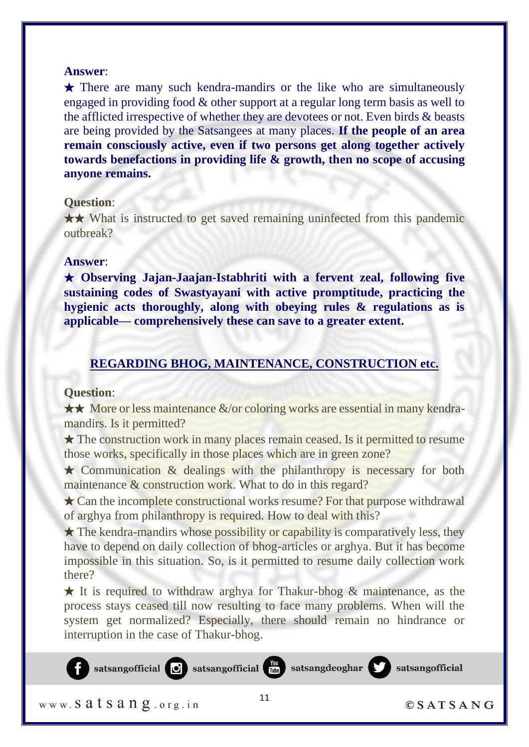★ There are many such kendra-mandirs or the like who are simultaneously engaged in providing food & other support at a regular long term basis as well to the afflicted irrespective of whether they are devotees or not. Even birds & beasts are being provided by the Satsangees at many places. **If the people of an area remain consciously active, even if two persons get along together actively towards benefactions in providing life & growth, then no scope of accusing anyone remains.**

# **Question**:

★★ What is instructed to get saved remaining uninfected from this pandemic outbreak?

## **Answer**:

★ **Observing Jajan-Jaajan-Istabhriti with a fervent zeal, following five sustaining codes of Swastyayani with active promptitude, practicing the hygienic acts thoroughly, along with obeying rules & regulations as is applicable— comprehensively these can save to a greater extent.**

# **REGARDING BHOG, MAINTENANCE, CONSTRUCTION etc.**

#### **Question**:

★★ More or less maintenance &/or coloring works are essential in many kendramandirs. Is it permitted?

★ The construction work in many places remain ceased. Is it permitted to resume those works, specifically in those places which are in green zone?

 $\star$  Communication & dealings with the philanthropy is necessary for both maintenance & construction work. What to do in this regard?

 $\star$  Can the incomplete constructional works resume? For that purpose withdrawal of arghya from philanthropy is required. How to deal with this?

 $\star$  The kendra-mandirs whose possibility or capability is comparatively less, they have to depend on daily collection of bhog-articles or arghya. But it has become impossible in this situation. So, is it permitted to resume daily collection work there?

★ It is required to withdraw arghya for Thakur-bhog & maintenance, as the process stays ceased till now resulting to face many problems. When will the system get normalized? Especially, there should remain no hindrance or interruption in the case of Thakur-bhog.